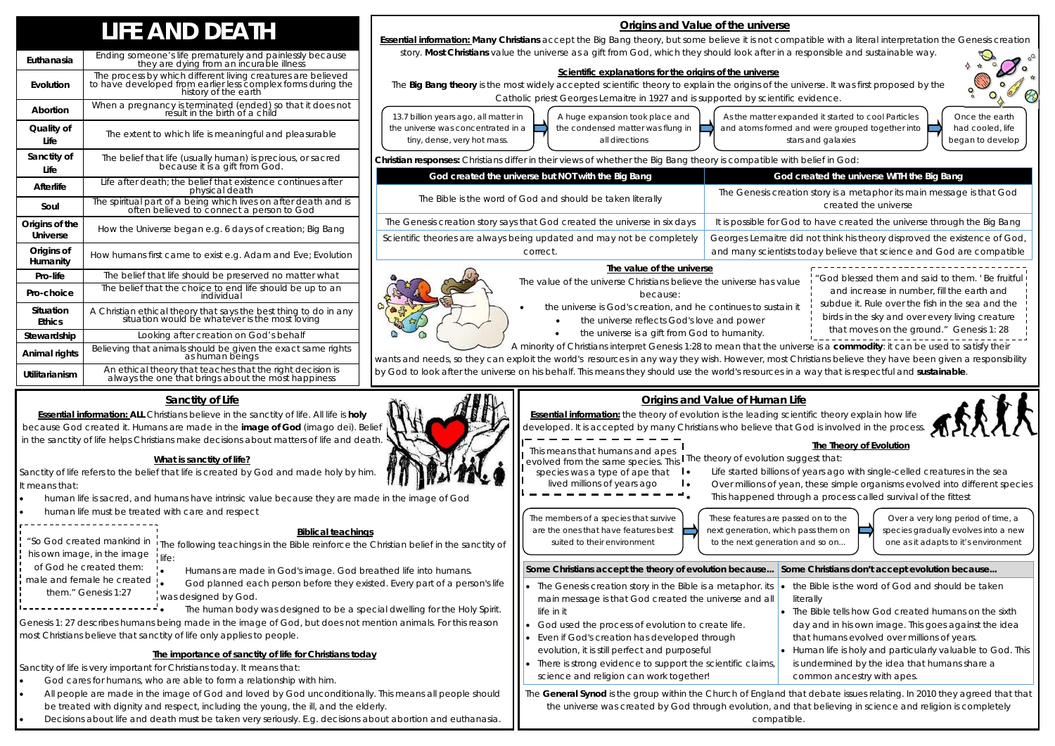|                                   | <b>LIFE AND DEATH</b>                                                                                                                                |  |  |
|-----------------------------------|------------------------------------------------------------------------------------------------------------------------------------------------------|--|--|
| Euthanasia                        | Ending someone's life prematurely and painlessly because<br>they are dying from an incurable illness                                                 |  |  |
| Evolution                         | The process by which different living creatures are believed<br>to have developed from earlier less complex forms during the<br>history of the earth |  |  |
| Abortion                          | When a pregnancy is terminated (ended) so that it does not<br>result in the birth of a child                                                         |  |  |
| Quality of<br>Life                | The extent to which life is meaningful and pleasurable                                                                                               |  |  |
| Sanctity of<br>Life               | The belief that life (usually human) is precious, or sacred<br>because it is a gift from God.                                                        |  |  |
| <b>Afterlife</b>                  | Life after death; the belief that existence continues after<br>physical death                                                                        |  |  |
| Soul                              | The spiritual part of a being which lives on after death and is<br>often believed to connect a person to God                                         |  |  |
| Origins of the<br><b>Universe</b> | How the Universe began e.g. 6 days of creation; Big Bang                                                                                             |  |  |
| Origins of<br>Humanity            | How humans first came to exist e.g. Adam and Eve; Evolution                                                                                          |  |  |
| Pro-life                          | The belief that life should be preserved no matter what                                                                                              |  |  |
| Pro-choice                        | The belief that the choice to end life should be up to an<br>individual                                                                              |  |  |
| Situation<br><b>Ethics</b>        | A Christian ethical theory that says the best thing to do in any<br>situation would be whatever is the most loving                                   |  |  |
| Stewardship                       | Looking after creation on God's behalf                                                                                                               |  |  |
| Animal rights                     | Believing that animals should be given the exact same rights<br>as human beings                                                                      |  |  |
| Utilitarianism                    | An ethical theory that teaches that the right decision is<br>always the one that brings about the most happiness                                     |  |  |

- -
- $\bullet$ the universe is a gift from God to humanity.

# **Origins and Value of the universe**

**Essential information: Many Christians** accept the Big Bang theory, but some believe it is not compatible with a literal interpretation the Genesis creation story. **Most Christians** value the universe as a gift from God, which they should look after in a responsible and sustainable way.

## **Scientific explanations for the origins of the universe**

The **Big Bang theory** is the most widely accepted scientific theory to explain the origins of the universe. It was first proposed by the Catholic priest Georges Lemaitre in 1927 and is supported by scientific evidence.

**Christian responses:** Christians differ in their views of whether the Big Bang theory is compatible with belief in God:

. human life is sacred, and humans have intrinsic value because they are made in the image of God

 $\bullet$ human life must be treated with care and respect

> God planned each person before they existed. Every part of a person's life was designed by God.

A minority of Christians interpret Genesis 1:28 to mean that the universe is a **commodity**: it can be used to satisfy their wants and needs, so they can exploit the world's resources in any way they wish. However, most Christians believe they have been given a responsibility by God to look after the universe on his behalf. This means they should use the world's resources in a way that is respectful and **sustainable**.

- $\bullet$ God cares for humans, who are able to form a relationship with him.
- $\bullet$  All people are made in the image of God and loved by God unconditionally. This means all people should be treated with dignity and respect, including the young, the ill, and the elderly.
- Decisions about life and death must be taken very seriously. E.g. decisions about abortion and euthanasia.

*them." Genesis 1:27* . <u>. . . . . . . . . . . . . . . .</u> .

 $\bullet$ 

13.7 billion years ago, all matter in the universe was concentrated in a tiny, dense, very hot mass. A huge expansion took place and the condensed matter was flung in all directions

As the matter expanded it started to cool Particles and atoms formed and were grouped together into stars and galaxies



**The value of the universe**  The value of the universe Christians believe the universe has value because:  $\bullet$  the universe is God's creation, and he continues to sustain it  $\bullet$  the universe reflects God's love and power *"God blessed them and said to them. ' Be fruitful and increase in number, fill the earth and subdue it. Rule over the fish in the sea and the birds in the sky and over every living creature that moves on the ground."* Genesis 1: 28

Once the earth had cooled, life began to develop

## **Greated the universe WITH the Big Bang**

tion story is a metaphor its main message is that God created the universe

d to have created the universe through the Big Bang

did not think his theory disproved the existence of God, today believe that science and God are compatible





| <b>INSURANT COMPOSITION</b> OF INSURANCE IN THE RECENT VIOLATOR REPORT OF DRIVING THOOD <b>Y</b> TO COMPOSITION WITH |                                           |  |  |
|----------------------------------------------------------------------------------------------------------------------|-------------------------------------------|--|--|
| God created the universe but NOT with the Big Bang                                                                   | God                                       |  |  |
| The Bible is the word of God and should be taken literally                                                           | The Genesis creat                         |  |  |
| The Genesis creation story says that God created the universe in six days                                            | It is possible for Go                     |  |  |
| Scientific theories are always being updated and may not be completely<br>correct.                                   | Georges Lemaitre o<br>and many scientists |  |  |
|                                                                                                                      |                                           |  |  |

## **Sanctity of Life**

**Essential information: ALL** Christians believe in the sanctity of life. All life is **holy**  because God created it. Humans are made in the **image of God** (imago dei). Belief in the sanctity of life helps Christians make decisions about matters of life and death.

## **What is sanctity of life?**

Sanctity of life refers to the belief that life is created by God and made holy by him. It means that:

## **Biblical teachings**

The following teachings in the Bible reinforce the Christian belief in the sanctity of *"So God created mankind in*  life:

Humans are made in God's image. God breathed life into humans.

The human body was designed to be a special dwelling for the Holy Spirit.

Genesis 1: 27 describes humans being made in the image of God, but does not mention animals. For this reason most Christians believe that sanctity of life only applies to people.

# **The importance of sanctity of life for Christians today**

Sanctity of life is very important for Christians today. It means that:

 $\bullet$ 

 $\bullet$ 

*his own image, in the image* 

*of God he created them:* 

*male and female he created* 

# **Origins and Value of Human Life**

The **General Synod** is the group within the Church of England that debate issues relating. In 2010 they agreed that that the universe was created by God through evolution, and that believing in science and religion is completely compatible.





**Essential information:** the theory of evolution is the leading scientific theory explain how life developed. It is accepted by many Christians who believe that God is involved in the process. **The Theory of Evolution**  evolved from the same species. This I The theory of evolution suggest that: *species was a type of ape that*  Life started billions of years ago with single-celled creatures in the sea  $\mathbf{I}$  . Over millions of yean, these simple organisms evolved into different species  $\bullet$  This happened through a process called survival of the fittest The members of a species that survive are the ones that have features best suited to their environment These features are passed on to the next generation, which pass them on to the next generation and so on... Over a very long period of time, a species gradually evolves into a new one as it adapts to it's environment *This means that humans and apes lived millions of years ago*  **Some Christians accept the theory of evolution because... Some Christians don't accept evolution because...**  The Genesis creation story in the Bible is a metaphor. its main message is that God created the universe and all life in it  $\bullet$  the Bible is the word of God and should be taken literally The Bible tells how God created humans on the sixth

- God used the process of evolution to create life. Even if God's creation has developed through
- 
- evolution, it is still perfect and purposeful There is strong evidence to support the scientific claims, science and religion can work together! Human life is holy and particularly valuable to God. This is undermined by the idea that humans share a common ancestry with apes.
- 
- day and in his own image. This goes against the idea that humans evolved over millions of years.